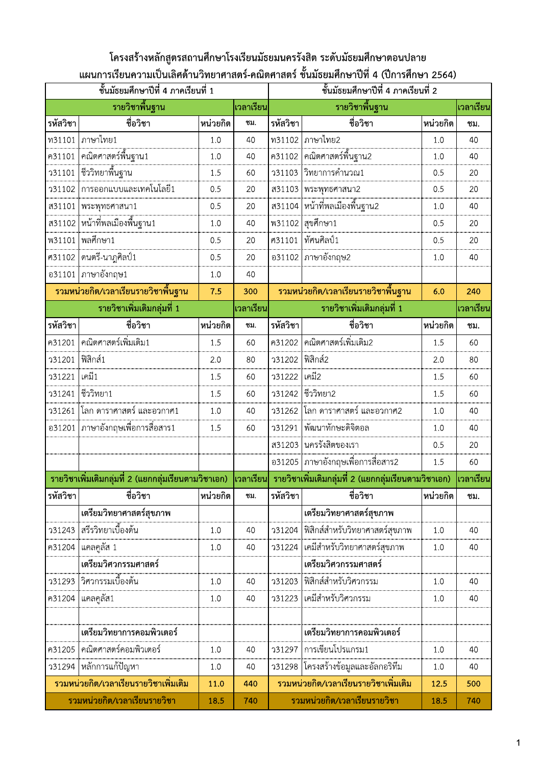### โครงสร้างหลักสูตรสถานศึกษาโรงเรียนมัธยมนครรังสิต ระดับมัธยมศึกษาตอนปลาย ีแผนการเรียนความเป็นเลิศด้านวิทยาศาสตร์-คณิตศาสตร์ ชั้นมัธยมศึกษาปีที่ 4 (ปีการศึกษา 2564)

|               | ชั้นมัธยมศึกษาปีที่ 4 ภาคเรียนที่ 1                  |          |           |          | ชั้นมัธยมศึกษาปีที่ 4 ภาคเรียนที่ 2                  |           |           |
|---------------|------------------------------------------------------|----------|-----------|----------|------------------------------------------------------|-----------|-----------|
|               | รายวิชาพื้นฐาน                                       |          | เวลาเรียน |          | รายวิชาพื้นฐาน                                       |           | เวลาเรียน |
| รหัสวิชา      | ชื่อวิชา                                             | หน่วยกิต | ซม.       | รหัสวิชา | ชื่อวิชา                                             | หน่วยกิต  | ชม.       |
| พ31101        | ่ ภาษาไทย1                                           | 1.0      | 40        | พ31102   | ภาษาไทย2                                             | 1.0       | 40        |
| ค31101        |                                                      | 1.0      | 40        | ค31102   |                                                      | 1.0       | 40        |
| <b>31101</b>  |                                                      | 1.5      | 60        | 731103   | วิทยาการคำนวณ1                                       | 0.5       | 20        |
| 731102        | การออกแบบและเทคโนโลยี1                               | 0.5      | 20        | ส31103   | พระพุทธศาสนา2                                        | 0.5       | 20        |
| ส31101        | พระพุทธศาสนา1                                        | 0.5      | 20        | ส31104   | หน้าที่พลเมืองพื้นฐาน2                               | 1.0       | 40        |
|               | <del></del><br>ส31102   หน้าที่พลเมืองพื้นฐาน1       | 1.0      | 40        |          | พ31102 สุขศึกษา1                                     | 0.5       | 20        |
| <b>W31101</b> | พลศึกษา1                                             | 0.5      | 20        | ศ31101   | ทัศนศิลป์1                                           | 0.5       | 20        |
| ศ31102        | ดนตรี-นาฎศิลป์1                                      | 0.5      | 20        |          | อ31102 ภาษาอังกฤษ2                                   | 1.0       | 40        |
|               | อ31101   ภาษาอังกฤษ1                                 | 1.0      | 40        |          |                                                      |           |           |
|               | ้รวมหน่วยกิต/เวลาเรียนรายวิชาพื้นฐาน                 | 7.5      | 300       |          | ้รวมหน่วยกิต/เวลาเรียนรายวิชาพื้นฐาน                 | 6.0       | 240       |
|               | รายวิชาเพิ่มเติมกลุ่มที่ 1                           |          | เวลาเรียน |          | รายวิชาเพิ่มเติมกลุ่มที่ 1                           |           | เวลาเรียน |
| รหัสวิชา      | ชื่อวิชา                                             | หน่วยกิต | ซม.       | รหัสวิชา | ชื่อวิชา                                             | หน่วยกิต  | ชม.       |
| ค31201        | คณิตศาสตร์เพิ่มเติม1                                 | 1.5      | 60        | ค31202   | คณิตศาสตร์เพิ่มเติม2                                 | 1.5       | 60        |
| <b>31201</b>  | ฟิสิกส์1                                             | 2.0      | 80        | 331202   | ฟิสิกส์2                                             | 2.0       | 80        |
| 131221        | เคมี1                                                | 1.5      | 60        | 331222   | เคมี2                                                | 1.5       | 60        |
| 331241        | ชีววิทยา1                                            | 1.5      | 60        | 331242   | ชีววิทยา2                                            | 1.5       | 60        |
| 331261        | โลก ดาราศาสตร์ และอวกาศ1                             | 1.0      | 40        | 331262   | โลก ดาราศาสตร์ และอวกาศ2                             | 1.0       | 40        |
|               | อ31201   ภาษาอังกฤษเพื่อการสื่อสาร1                  | 1.5      | 60        | 131291   | พัฒนาทักษะดิจิตอล                                    | 1.0       | 40        |
|               |                                                      |          |           |          | ส31203   นครรังสิตของเรา                             | 0.5       | 20        |
|               |                                                      |          |           |          | อ31205   ภาษาอังกฤษเพื่อการสื่อสาร2                  | 1.5       | 60        |
|               | รายวิชาเพิ่มเติมกลุ่มที่ 2 (แยกกลุ่มเรียนตามวิชาเอก) |          | เวลาเรียน |          | รายวิชาเพิ่มเติมกลุ่มที่ 2 (แยกกลุ่มเรียนตามวิชาเอก) |           | เวลาเรียน |
| รหัสวิชา      | ี ชื่อวิชา                                           | หน่วยกิต | ชม.       | รหัสวิชา | ชื่อวิชา                                             | ็หน่วยกิต | ชม.       |
|               | เตรียมวิทยาศาสตร์สุขภาพ                              |          |           |          | เตรียมวิทยาศาสตร์สุขภาพ                              |           |           |
| 731243        | สรีรวิทยาเบื้องต้น                                   | 1.0      | 40        | 731204   | ฟิสิกส์สำหรับวิทยาศาสตร์สุขภาพ                       | 1.0       | 40        |
| ค31204        | แคลคูลัส 1                                           | 1.0      | 40        | 131224   | เคมีสำหรับวิทยาศาสตร์สุขภาพ                          | 1.0       | 40        |
|               | เตรียมวิศวกรรมศาสตร์                                 |          |           |          | เตรียมวิศวกรรมศาสตร์                                 |           |           |
| 731293        | วิศวกรรมเบื้องต้น                                    | 1.0      | 40        | 731203   | ฟิสิกส์สำหรับวิศวกรรม                                | 1.0       | 40        |
| ค31204        | แคลคูลัส1                                            | 1.0      | 40        | 731223   | เคมีสำหรับวิศวกรรม                                   | 1.0       | 40        |
|               |                                                      |          |           |          |                                                      |           |           |
|               | เตรียมวิทยาการคอมพิวเตอร์                            |          |           |          | เตรียมวิทยาการคอมพิวเตอร์                            |           |           |
| ค31205        | คณิตศาสตร์คอมพิวเตอร์                                | 1.0      | 40        | 731297   | การเขียนโปรแกรม1                                     | 1.0       | 40        |
| 731294        | หลักการแก้ปัญหา                                      | 1.0      | 40        | 731298   | โครงสร้างข้อมูลและอัลกอริทึม                         | 1.0       | 40        |
|               | ้รวมหน่วยกิต/เวลาเรียนรายวิชาเพิ่มเติม               | 11.0     | 440       |          | รวมหน่วยกิต/เวลาเรียนรายวิชาเพิ่มเติม                | 12.5      | 500       |
|               | รวมหน่วยกิต/เวลาเรียนรายวิชา                         | 18.5     | 740       |          | รวมหน่วยกิต/เวลาเรียนรายวิชา                         | 18.5      | 740       |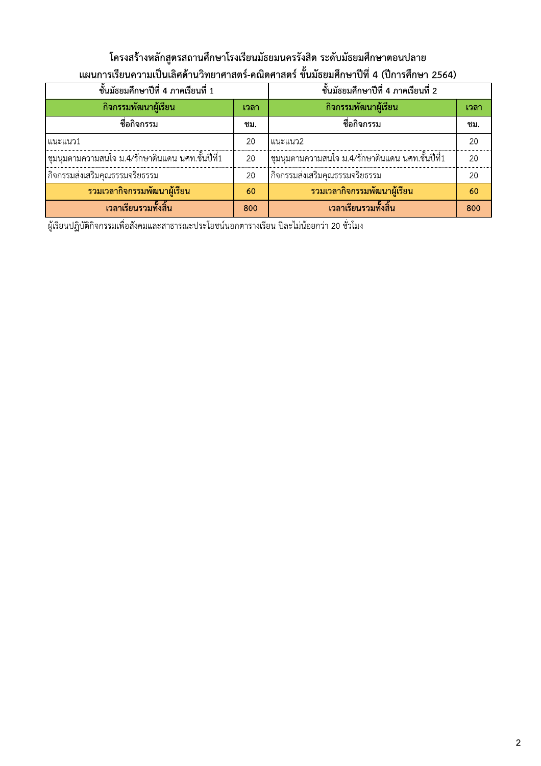## โครงสร้างหลักสูตรสถานศึกษาโรงเรียนมัธยมนครรังสิต ระดับมัธยมศึกษาตอนปลาย ีแผนการเรียนความเป็นเลิศด้านวิทยาศาสตร์-คณิตศาสตร์ ชั้นมัธยมศึกษาปีที่ 4 (ปีการศึกษา 2564)

| ขั้นมัธยมศึกษาปีที่ 4 ภาคเรียนที่ 1                 | ์ชั้นมัธยมศึกษาปีที่ 4 ภาคเรียนที่ 2 |                                                    |      |
|-----------------------------------------------------|--------------------------------------|----------------------------------------------------|------|
| กิจกรรมพัฒนาผู้เรียน                                | เวลา                                 | ู กิจกรรมพัฒนาผู้เรียน                             | เวลา |
| ชื่อกิจกรรม                                         | ชม.                                  | ชื่อกิจกรรม                                        | ชม.  |
| แนะแนว1                                             | 20                                   | แนะแนว2                                            | 20   |
| ี่ ชุมนุมตามความสนใจ ม.4/รักษาดินแดน นศท.ชั้นปีที่1 | 20                                   | ่ ชุมนุมตามความสนใจ ม.4/รักษาดินแดน นศท.ชั้นปีที่1 | 20   |
| กิจกรรมส่งเสริมคณธรรมจริยธรรม                       | 20                                   | กิจกรรมส่งเสริมคณธรรมจริยธรรม                      | 20   |
| ้รวมเวลากิจกรรมพัฒนาผู้เรียน                        | 60                                   | ้รวมเวลากิจกรรมพัฒนาผู้เรียน                       | 60   |
| ้เวลาเรียนรวมทั้งสิ้น                               | 800                                  | ้เวลาเรียนรวมทั้งสิ้น                              | 800  |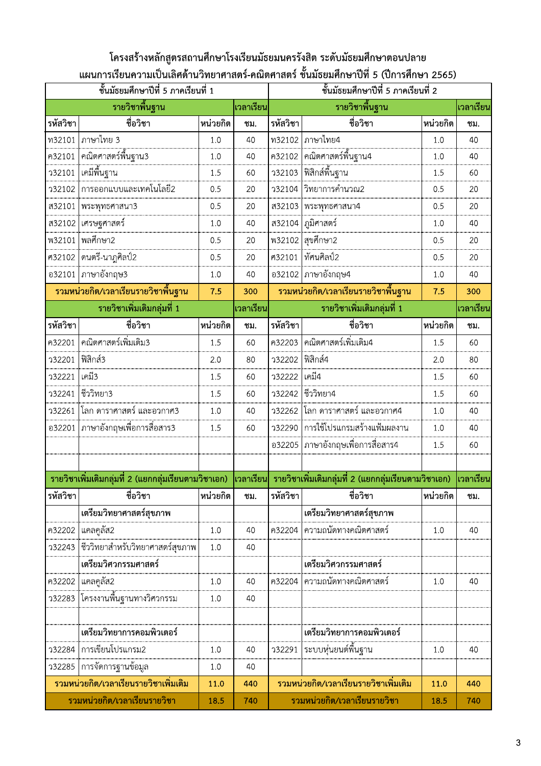### โครงสร้างหลักสูตรสถานศึกษาโรงเรียนมัธยมนครรังสิต ระดับมัธยมศึกษาตอนปลาย ีแผนการเรียนความเป็นเลิศด้านวิทยาศาสตร์-คณิตศาสตร์ ชั้นมัธยมศึกษาปีที่ 5 (ปีการศึกษา 2565)

|               | ชั้นมัธยมศึกษาปีที่ 5 ภาคเรียนที่ 1                                                                                       |          |                  | ชั้นมัธยมศึกษาปีที่ 5 ภาคเรียนที่ 2 |                                        |          |           |  |
|---------------|---------------------------------------------------------------------------------------------------------------------------|----------|------------------|-------------------------------------|----------------------------------------|----------|-----------|--|
|               | รายวิชาพื้นฐาน                                                                                                            |          | <b>เวลาเรียน</b> |                                     | รายวิชาพื้นฐาน                         |          | เวลาเรียน |  |
| รหัสวิชา      | ชื่อวิชา                                                                                                                  | หน่วยกิต | ชม.              | รหัสวิชา                            | ชื่อวิชา                               | หน่วยกิต | ชม.       |  |
| ท32101        | ภาษาไทย 3                                                                                                                 | 1.0      | 40               |                                     | ท32102   ภาษาไทย4                      | 1.0      | 40        |  |
| ค32101        | คณิตศาสตร์พื้นฐาน3                                                                                                        | 1.0      | 40               | ค32102                              | ๎ๅ<br>ๅฅฌิตศาสตร์พื้นฐาน4              | 1.0      | 40        |  |
| 132101        | เคมีพื้นฐาน                                                                                                               | 1.5      | 60               | 732103                              | พิสิกส์พื้นฐาน                         | 1.5      | 60        |  |
| 732102        | ี<br>การออกแบบและเทคโนโลยี2                                                                                               | 0.5      | 20               |                                     | ว32104  วิทยาการคำนวณ2                 | 0.5      | 20        |  |
| ส32101        | พระพุทธศาสนา3                                                                                                             | 0.5      | 20               |                                     | ส32103  พระพุทธศาสนา4                  | 0.5      | 20        |  |
|               | ส32102  เศรษฐศาสตร์                                                                                                       | 1.0      | 40               |                                     | ส32104   ภูมิศาสตร์                    | 1.0      | 40        |  |
| <b>W32101</b> | พลศึกษา2                                                                                                                  | 0.5      | 20               |                                     | พ32102 สุขศึกษา2                       | 0.5      | 20        |  |
| ศ32102        | ดนตรี-นาฎศิลป์2                                                                                                           | 0.5      | 20               |                                     | ศ32101  ทัศนศิลป์2                     | 0.5      | 20        |  |
|               | อ32101   ภาษาอังกฤษ3                                                                                                      | 1.0      | 40               |                                     | อ32102 ภาษาอังกฤษ4                     | 1.0      | 40        |  |
|               | ้รวมหน่วยกิต/เวลาเรียนรายวิชาพื้นฐาน                                                                                      | 7.5      | 300              |                                     | รวมหน่วยกิต/เวลาเรียนรายวิชาพื้นฐาน    | 7.5      | 300       |  |
|               | รายวิชาเพิ่มเติมกลุ่มที่ 1                                                                                                |          | เวลาเรียน        |                                     | รายวิชาเพิ่มเติมกลุ่มที่ 1             |          | เวลาเรียน |  |
| รหัสวิชา      | ชื่อวิชา                                                                                                                  | หน่วยกิต | ชม.              | รหัสวิชา                            | ชื่อวิชา                               | หน่วยกิต | ชม.       |  |
| ค32201        | คณิตศาสตร์เพิ่มเติม3                                                                                                      | 1.5      | 60               |                                     | ค32203 คณิตศาสตร์เพิ่มเติม4            | 1.5      | 60        |  |
| 132201        | ฟิสิกส์3                                                                                                                  | 2.0      | 80               | 332202                              | พิสิกส์4                               | 2.0      | 80        |  |
| 132221        | เคมี3                                                                                                                     | 1.5      | 60               | 332222                              | เคมี4                                  | 1.5      | 60        |  |
| 132241        | ชีววิทยา3                                                                                                                 | 1.5      | 60               | 332242                              | ชีววิทยา4                              | 1.5      | 60        |  |
| 132261        | โลก ดาราศาสตร์ และอวกาศ3                                                                                                  | 1.0      | 40               |                                     | ว32262 โลก ดาราศาสตร์ และอวกาศ4        | 1.0      | 40        |  |
| อ32201        | $ $ ภาษาอังกฤษเพื่อการสื่อสาร3                                                                                            | 1.5      | 60               | <b>332290</b>                       | การใช้โปรแกรมสร้างแฟ้มผลงาน            | 1.0      | 40        |  |
|               |                                                                                                                           |          |                  |                                     | อ32205   ภาษาอังกฤษเพื่อการสื่อสาร4    | 1.5      | 60        |  |
|               |                                                                                                                           |          |                  |                                     |                                        |          |           |  |
|               | ี รายวิชาเพิ่มเติมกลุ่มที่ 2 (แยกกลุ่มเรียนตามวิชาเอก)   เวลาเรียน   รายวิชาเพิ่มเติมกลุ่มที่ 2 (แยกกลุ่มเรียนตามวิชาเอก) |          |                  |                                     |                                        |          | เวลาเรียน |  |
| รหัสวิชา      | ชื่อวิชา                                                                                                                  | หน่วยกิต | ชม.              | รหัสวิชา                            | ชื่อวิชา                               | หน่วยกิต | ชม.       |  |
|               | เตรียมวิทยาศาสตร์สุขภาพ                                                                                                   |          |                  |                                     | เตรียมวิทยาศาสตร์สุขภาพ                |          |           |  |
| ค32202        | แคลคูลัส2                                                                                                                 | 1.0      | 40               | ค32204                              | ความถนัดทางคณิตศาสตร์                  | 1.0      | 40        |  |
| 732243        | ชีววิทยาสำหรับวิทยาศาสตร์สุขภาพ                                                                                           | 1.0      | 40               |                                     |                                        |          |           |  |
|               | เตรียมวิศวกรรมศาสตร์                                                                                                      |          |                  |                                     | เตรียมวิศวกรรมศาสตร์                   |          |           |  |
| ค32202        | แคลคูลัส2                                                                                                                 | 1.0      | 40               | ค32204                              | ความถนัดทางคณิตศาสตร์                  | 1.0      | 40        |  |
| 732283        | ____<br>โครงงานพื้นฐานทางวิศวกรรม                                                                                         | 1.0      | 40               |                                     |                                        |          |           |  |
|               |                                                                                                                           |          |                  |                                     |                                        |          |           |  |
|               | เตรียมวิทยาการคอมพิวเตอร์                                                                                                 |          |                  |                                     | เตรียมวิทยาการคอมพิวเตอร์              |          |           |  |
| 732284        | การเขียนโปรแกรม2                                                                                                          | 1.0      | 40               | 132291                              |                                        | 1.0      | 40        |  |
| 732285        | ่ การจัดการฐานข้อมูล                                                                                                      | 1.0      | 40               |                                     |                                        |          |           |  |
|               | รวมหน่วยกิต/เวลาเรียนรายวิชาเพิ่มเติม                                                                                     | 11.0     | 440              |                                     | ้รวมหน่วยกิต/เวลาเรียนรายวิชาเพิ่มเติม | 11.0     | 440       |  |
|               | รวมหน่วยกิต/เวลาเรียนรายวิชา                                                                                              | 18.5     | 740              |                                     | รวมหน่วยกิต/เวลาเรียนรายวิชา           | 18.5     | 740       |  |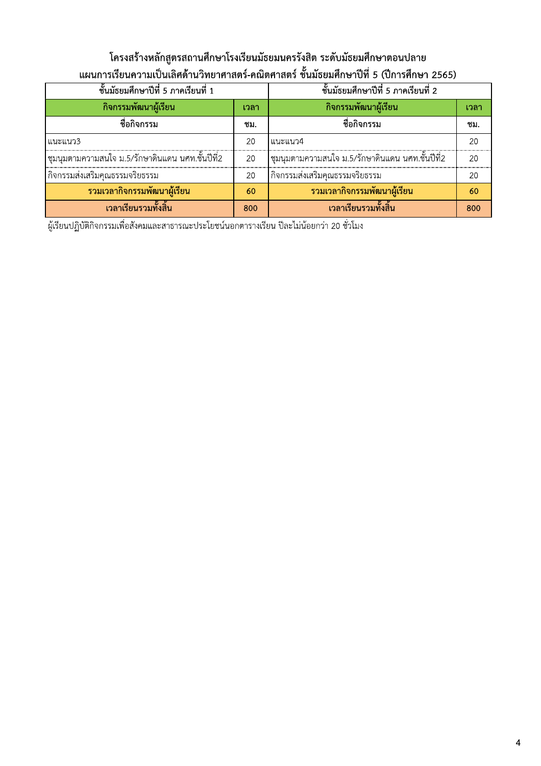# โครงสร้างหลักสูตรสถานศึกษาโรงเรียนมัธยมนครรังสิต ระดับมัธยมศึกษาตอนปลาย ีแผนการเรียนความเป็นเลิศด้านวิทยาศาสตร์-คณิตศาสตร์ ชั้นมัธยมศึกษาปีที่ 5 (ปีการศึกษา 2565)

| ขั้นมัธยมศึกษาปีที่ 5 ภาคเรียนที่ 1                 | ขั้นมัธยมศึกษาปีที่ 5 ภาคเรียนที่ 2 |                                                  |      |
|-----------------------------------------------------|-------------------------------------|--------------------------------------------------|------|
| กิจกรรมพัฒนาผู้เรียน                                | เวลา                                | ่กิจกรรมพัฒนาผู้เรียน                            | เวลา |
| ชื่อกิจกรรม                                         | ชม.                                 | ชื่อกิจกรรม                                      | ชม.  |
| แนะแนว3                                             | 20                                  | แนะแนว4                                          | 20   |
| ี่ ชุมนุมตามความสนใจ ม.5/รักษาดินแดน นศท.ชั้นปีที่2 | 20                                  | ชุมนุมตามความสนใจ ม.5/รักษาดินแดน นศท.ชั้นปีที่2 | 20   |
| กิจกรรมส่งเสริมคณธรรมจริยธรรม                       | 20                                  | กิจกรรมส่งเสริมคณธรรมจริยธรรม                    | 20   |
| ้รวมเวลากิจกรรมพัฒนาผู้เรียน                        | 60                                  | ้รวมเวลากิจกรรมพัฒนาผู้เรียน                     | 60   |
| ้เวลาเรียนรวมทั้งสิ้น                               | 800                                 | ้เวลาเรียนรวมทั้งสิ้น                            | 800  |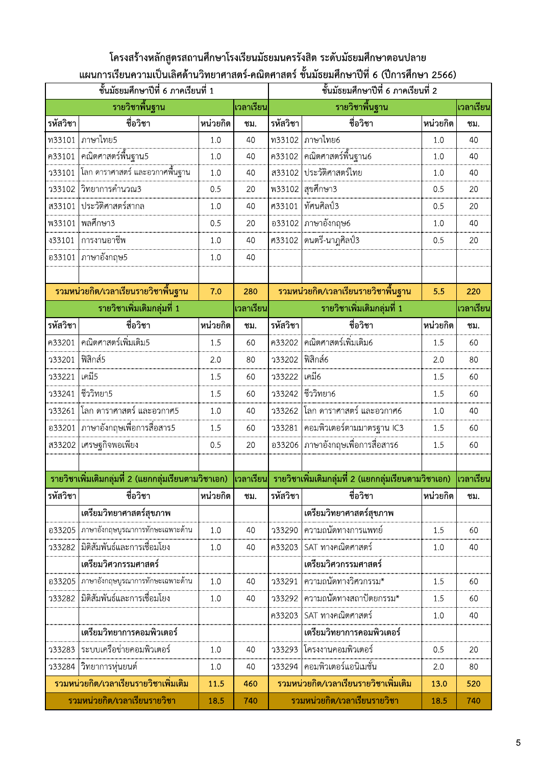### โครงสร้างหลักสูตรสถานศึกษาโรงเรียนมัธยมนครรังสิต ระดับมัธยมศึกษาตอนปลาย ีแผนการเรียนความเป็นเลิศด้านวิทยาศาสตร์-คณิตศาสตร์ ชั้นมัธยมศึกษาปีที่ 6 (ปีการศึกษา 2566)

|               | ์ชั้นมัธยมศึกษาปีที่ 6 ภาคเรียนที่ 1                 |          |           |          | ชั้นมัธยมศึกษาปีที่ 6 ภาคเรียนที่ 2                               |            |           |
|---------------|------------------------------------------------------|----------|-----------|----------|-------------------------------------------------------------------|------------|-----------|
|               | รายวิชาพื้นฐาน                                       |          | เวลาเรียน |          | รายวิชาพื้นฐาน                                                    |            | เวลาเรียน |
| รหัสวิชา      | ชื่อวิชา                                             | หน่วยกิต | ชม.       | รหัสวิชา | ชื่อวิชา                                                          | หน่วยกิต   | ชม.       |
| ท33101        | ภาษาไทย5                                             | 1.0      | 40        |          | ท33102 ภาษาไทย6                                                   | 1.0        | 40        |
| ค33101        |                                                      | 1.0      | 40        | ค33102   |                                                                   | 1.0        | 40        |
| 133101        | ์ โลก ดาราศาสตร์ และอวกาศพื้นฐาน                     | 1.0      | 40        | ส33102   | ประวัติศาสตร์ไทย                                                  | 1.0        | 40        |
| 733102        | วิทยาการคำนวณ3                                       | 0.5      | 20        |          | พ33102 สุขศึกษา3                                                  | 0.5        | 20        |
| ส33101        | ประวัติศาสตร์สากล                                    | 1.0      | 40        | ศ33101   | ทัศนศิลป์3                                                        | 0.5        | 20        |
| <b>W33101</b> | พลศึกษา3                                             | 0.5      | 20        |          | อ33102   ภาษาอังกฤษ6                                              | 1.0        | 40        |
| \$33101       | การงานอาชีพ                                          | 1.0      | 40        | ศ33102   | ดนตรี-นาฎศิลป์3                                                   | 0.5        | 20        |
| อ33101        | ภาษาอังกฤษ5                                          | 1.0      | 40        |          |                                                                   |            |           |
|               |                                                      |          |           |          |                                                                   |            |           |
|               | ้รวมหน่วยกิต/เวลาเรียนรายวิชาพื้นฐาน                 | 7.0      | 280       |          | ้รวมหน่วยกิต/เวลาเรียนรายวิชาพื้นฐาน                              | 5.5        | 220       |
|               | รายวิชาเพิ่มเติมกลุ่มที่ 1                           |          | เวลาเรียน |          | รายวิชาเพิ่มเติมกลุ่มที่ 1                                        |            | เวลาเรียน |
| รหัสวิชา      | ชื่อวิชา                                             | หน่วยกิต | ชม.       | รหัสวิชา | ชื่อวิชา                                                          | หน่วยกิต   | ชม.       |
| ค33201        | คณิตศาสตร์เพิ่มเติม5                                 | 1.5      | 60        | ค33202   | คณิตศาสตร์เพิ่มเติม6                                              | 1.5        | 60        |
| 133201        | ฟิสิกส์5                                             | 2.0      | 80        | 733202   | พิสิกส์6                                                          | 2.0        | 80        |
| 133221        | เคมี5                                                | 1.5      | 60        | 733222   | เคมี6                                                             | 1.5        | 60        |
| 133241        | ชีววิทยา5                                            | 1.5      | 60        | 733242   | ่ ชีววิทยา6                                                       | 1.5        | 60        |
| 133261        | โลก ดาราศาสตร์ และอวกาศ5                             | 1.0      | 40        | 33262    | โลก ดาราศาสตร์ และอวกาศ6                                          | 1.0        | 40        |
|               | ื่อ33201   ภาษาอังกฤษเพื่อการสื่อสาร5                | 1.5      | 60        | 133281   | คอมพิวเตอร์ตามมาตรฐาน IC3                                         | 1.5        | 60        |
|               | ส33202 เศรษฐกิจพอเพียง                               | 0.5      | 20        |          | ื่อ33206   ภาษาอังกฤษเพื่อการสื่อสาร6                             | 1.5        | 60        |
|               |                                                      |          |           |          |                                                                   |            |           |
|               | รายวิชาเพิ่มเติมกลุ่มที่ 2 (แยกกลุ่มเรียนตามวิชาเอก) |          |           |          | ∣เวลาเรียน∣่ รายวิชาเพิ่มเติมกลุ่มที่ 2 (แยกกลุ่มเรียนตามวิชาเอก) |            | เวลาเรียน |
| รหัสวิชา      | ชื่อวิชา                                             | หน่วยกิต | ชม.       | รหัสวิชา | ชื่อวิชา                                                          | ่ หน่วยกิต | ซม.       |
|               | เตรียมวิทยาศาสตร์สุขภาพ                              |          |           |          | เตรียมวิทยาศาสตร์สุขภาพ                                           |            |           |
| อ33205        | ภาษาอังกฤษบูรณาการทักษะเฉพาะด้าน                     | 1.0      | 40        | 733290   | ความถนัดทางการแพทย์                                               | 1.5        | 60        |
| 733282        | มิติสัมพันธ์และการเชื่อมโยง                          | 1.0      | 40        | ค33203   | SAT ทางคณิตศาสตร์                                                 | 1.0        | 40        |
|               | เตรียมวิศวกรรมศาสตร์                                 |          |           |          | เตรียมวิศวกรรมศาสตร์                                              |            |           |
| อ33205        | ภาษาอังกฤษบูรณาการทักษะเฉพาะด้าน                     | 1.0      | 40        | 733291   | ความถนัดทางวิศวกรรม*                                              | 1.5        | 60        |
| 733282        | มิติสัมพันธ์และการเชื่อมโยง                          | 1.0      | 40        | 733292   | ความถนัดทางสถาปัตยกรรม*                                           | 1.5        | 60        |
|               |                                                      |          |           | ค33203   | SAT ทางคณิตศาสตร์                                                 | 1.0        | 40        |
|               | เตรียมวิทยาการคอมพิวเตอร์                            |          |           |          | เตรียมวิทยาการคอมพิวเตอร์                                         |            |           |
| 733283        | ระบบเครือข่ายคอมพิวเตอร์                             | 1.0      | 40        | 733293   | โครงงานคอมพิวเตอร์                                                | 0.5        | 20        |
| 733284        | วิทยาการหุ่นยนต์                                     | 1.0      | 40        | 733294   | คอมพิวเตอร์แอนิเมชั่น                                             | 2.0        | 80        |
|               | รวมหน่วยกิต/เวลาเรียนรายวิชาเพิ่มเติม                | 11.5     | 460       |          | รวมหน่วยกิต/เวลาเรียนรายวิชาเพิ่มเติม                             | 13.0       | 520       |
|               | รวมหน่วยกิต/เวลาเรียนรายวิชา                         | 18.5     | 740       |          | รวมหน่วยกิต/เวลาเรียนรายวิชา                                      | 18.5       | 740       |